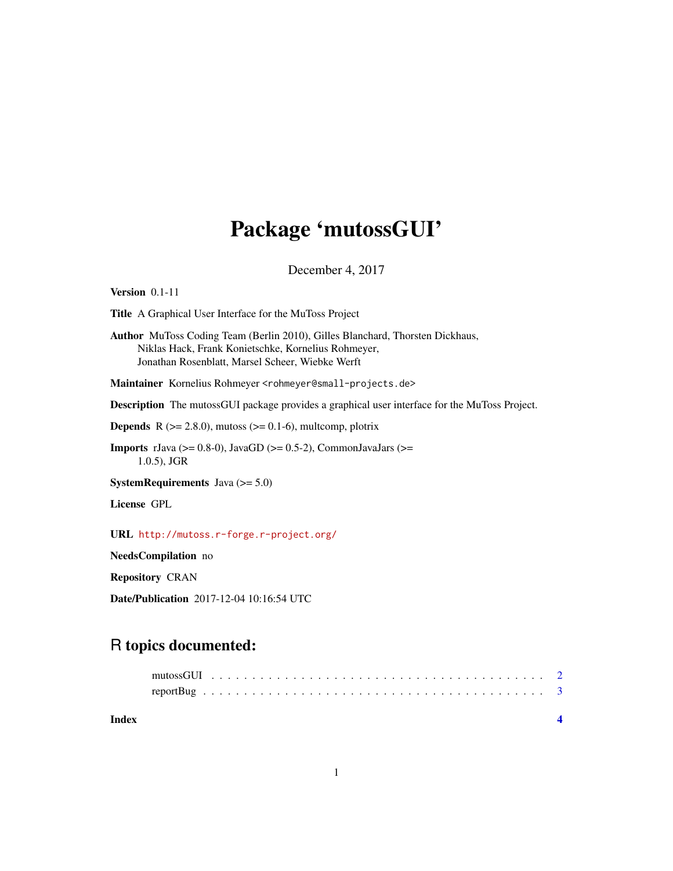## Package 'mutossGUI'

December 4, 2017

Version 0.1-11

Title A Graphical User Interface for the MuToss Project

Author MuToss Coding Team (Berlin 2010), Gilles Blanchard, Thorsten Dickhaus, Niklas Hack, Frank Konietschke, Kornelius Rohmeyer, Jonathan Rosenblatt, Marsel Scheer, Wiebke Werft

Maintainer Kornelius Rohmeyer <rohmeyer@small-projects.de>

Description The mutossGUI package provides a graphical user interface for the MuToss Project.

**Depends** R  $(>= 2.8.0)$ , mutoss  $(>= 0.1-6)$ , multcomp, plotrix

**Imports** rJava ( $>= 0.8-0$ ), JavaGD ( $>= 0.5-2$ ), CommonJavaJars ( $>=$ 1.0.5), JGR

SystemRequirements Java (>= 5.0)

License GPL

URL <http://mutoss.r-forge.r-project.org/>

NeedsCompilation no

Repository CRAN

Date/Publication 2017-12-04 10:16:54 UTC

### R topics documented:

**Index** [4](#page-3-0)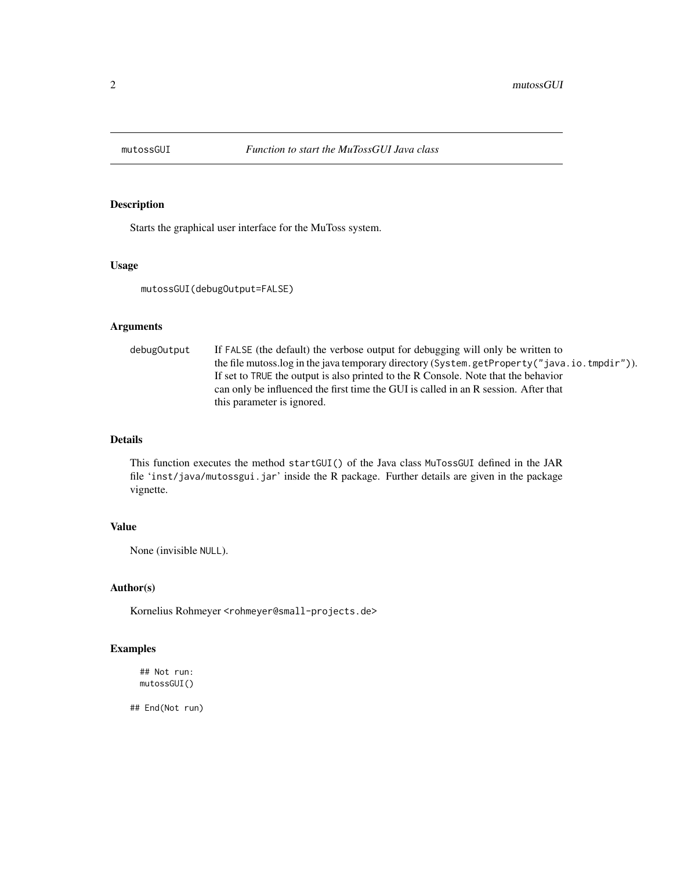<span id="page-1-0"></span>

#### Description

Starts the graphical user interface for the MuToss system.

#### Usage

mutossGUI(debugOutput=FALSE)

#### Arguments

debugOutput If FALSE (the default) the verbose output for debugging will only be written to the file mutoss.log in the java temporary directory (System.getProperty("java.io.tmpdir")). If set to TRUE the output is also printed to the R Console. Note that the behavior can only be influenced the first time the GUI is called in an R session. After that this parameter is ignored.

#### Details

This function executes the method startGUI() of the Java class MuTossGUI defined in the JAR file 'inst/java/mutossgui.jar' inside the R package. Further details are given in the package vignette.

#### Value

None (invisible NULL).

#### Author(s)

Kornelius Rohmeyer <rohmeyer@small-projects.de>

#### Examples

## Not run: mutossGUI()

## End(Not run)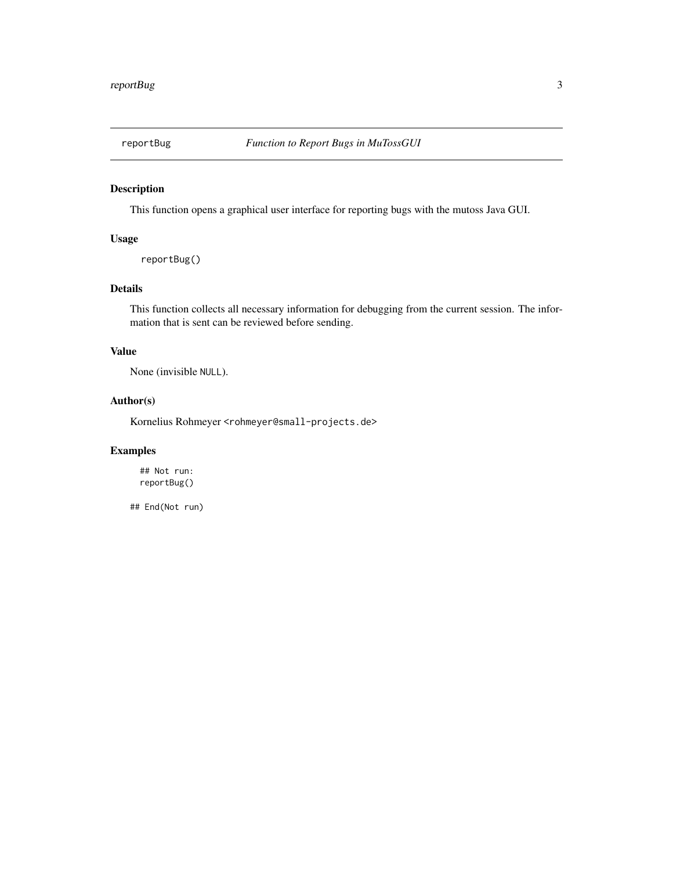<span id="page-2-0"></span>

#### Description

This function opens a graphical user interface for reporting bugs with the mutoss Java GUI.

#### Usage

reportBug()

#### Details

This function collects all necessary information for debugging from the current session. The information that is sent can be reviewed before sending.

#### Value

None (invisible NULL).

#### Author(s)

Kornelius Rohmeyer <rohmeyer@small-projects.de>

#### Examples

## Not run: reportBug()

## End(Not run)